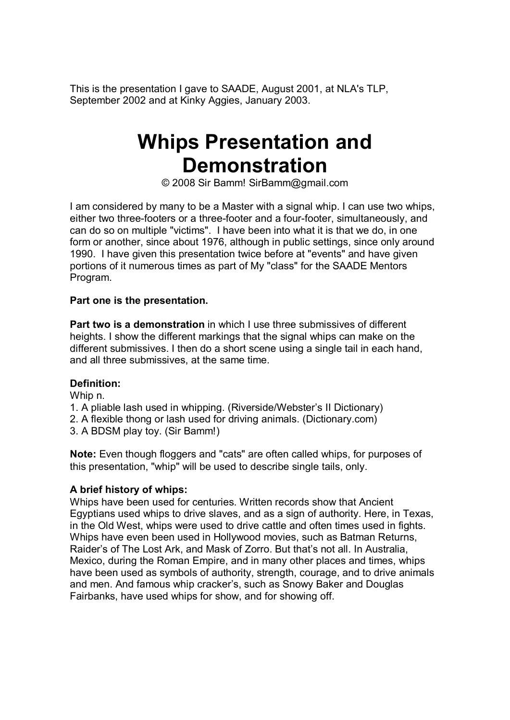This is the presentation I gave to SAADE, August 2001, at NLA's TLP, September 2002 and at Kinky Aggies, January 2003.

# **Whips Presentation and Demonstration**

[© 2008 Sir Bamm! SirBamm@gmail.com](mailto:SirBamm@gmail.com)

I am considered by many to be a Master with a signal whip. I can use two whips, either two three-footers or a three-footer and a four-footer, simultaneously, and can do so on multiple "victims". I have been into what it is that we do, in one form or another, since about 1976, although in public settings, since only around 1990. I have given this presentation twice before at "events" and have given portions of it numerous times as part of My "class" for the SAADE Mentors Program.

#### **Part one is the presentation.**

**Part two is a demonstration** in which I use three submissives of different heights. I show the different markings that the signal whips can make on the different submissives. I then do a short scene using a single tail in each hand, and all three submissives, at the same time.

#### **Definition:**

Whip n.

- 1. A pliable lash used in whipping. (Riverside/Webster's II Dictionary)
- 2. A flexible thong or lash used for driving animals. (Dictionary.com)
- 3. A BDSM play toy. (Sir Bamm!)

**Note:** Even though floggers and "cats" are often called whips, for purposes of this presentation, "whip" will be used to describe single tails, only.

#### **A brief history of whips:**

Whips have been used for centuries. Written records show that Ancient Egyptians used whips to drive slaves, and as a sign of authority. Here, in Texas, in the Old West, whips were used to drive cattle and often times used in fights. Whips have even been used in Hollywood movies, such as Batman Returns, Raider's of The Lost Ark, and Mask of Zorro. But that's not all. In Australia, Mexico, during the Roman Empire, and in many other places and times, whips have been used as symbols of authority, strength, courage, and to drive animals and men. And famous whip cracker's, such as Snowy Baker and Douglas Fairbanks, have used whips for show, and for showing off.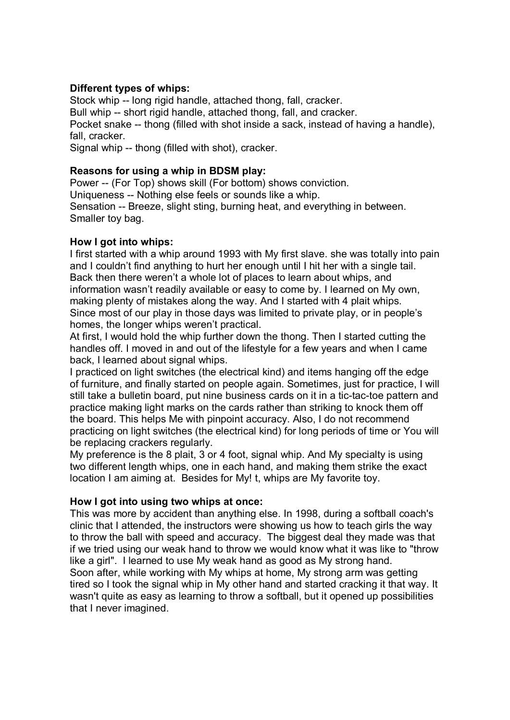# **Different types of whips:**

Stock whip -- long rigid handle, attached thong, fall, cracker. Bull whip -- short rigid handle, attached thong, fall, and cracker. Pocket snake -- thong (filled with shot inside a sack, instead of having a handle), fall, cracker.

Signal whip -- thong (filled with shot), cracker.

# **Reasons for using a whip in BDSM play:**

Power -- (For Top) shows skill (For bottom) shows conviction. Uniqueness -- Nothing else feels or sounds like a whip. Sensation -- Breeze, slight sting, burning heat, and everything in between. Smaller toy bag.

# **How I got into whips:**

I first started with a whip around 1993 with My first slave. she was totally into pain and I couldn't find anything to hurt her enough until I hit her with a single tail. Back then there weren't a whole lot of places to learn about whips, and information wasn't readily available or easy to come by. I learned on My own, making plenty of mistakes along the way. And I started with 4 plait whips. Since most of our play in those days was limited to private play, or in people's homes, the longer whips weren't practical.

At first, I would hold the whip further down the thong. Then I started cutting the handles off. I moved in and out of the lifestyle for a few years and when I came back, I learned about signal whips.

I practiced on light switches (the electrical kind) and items hanging off the edge of furniture, and finally started on people again. Sometimes, just for practice, I will still take a bulletin board, put nine business cards on it in a tic-tac-toe pattern and practice making light marks on the cards rather than striking to knock them off the board. This helps Me with pinpoint accuracy. Also, I do not recommend practicing on light switches (the electrical kind) for long periods of time or You will be replacing crackers regularly.

My preference is the 8 plait, 3 or 4 foot, signal whip. And My specialty is using two different length whips, one in each hand, and making them strike the exact location I am aiming at. Besides for My! t, whips are My favorite toy.

#### **How I got into using two whips at once:**

This was more by accident than anything else. In 1998, during a softball coach's clinic that I attended, the instructors were showing us how to teach girls the way to throw the ball with speed and accuracy. The biggest deal they made was that if we tried using our weak hand to throw we would know what it was like to "throw like a girl". I learned to use My weak hand as good as My strong hand. Soon after, while working with My whips at home, My strong arm was getting tired so I took the signal whip in My other hand and started cracking it that way. It wasn't quite as easy as learning to throw a softball, but it opened up possibilities that I never imagined.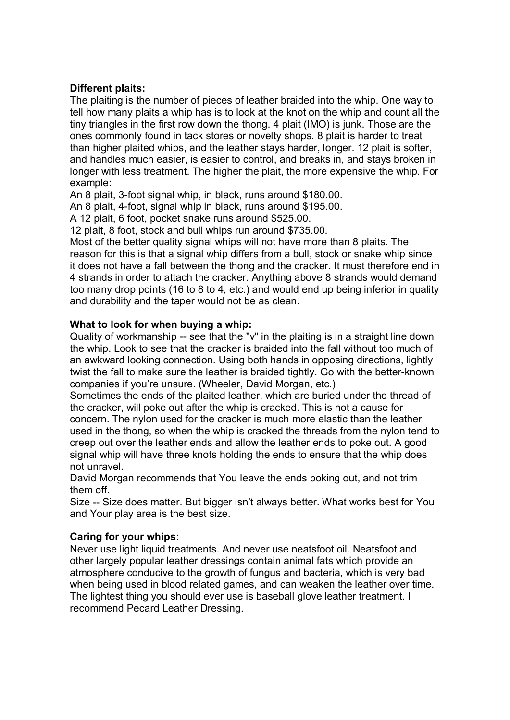# **Different plaits:**

The plaiting is the number of pieces of leather braided into the whip. One way to tell how many plaits a whip has is to look at the knot on the whip and count all the tiny triangles in the first row down the thong. 4 plait (IMO) is junk. Those are the ones commonly found in tack stores or novelty shops. 8 plait is harder to treat than higher plaited whips, and the leather stays harder, longer. 12 plait is softer, and handles much easier, is easier to control, and breaks in, and stays broken in longer with less treatment. The higher the plait, the more expensive the whip. For example:

An 8 plait, 3-foot signal whip, in black, runs around \$180.00.

An 8 plait, 4-foot, signal whip in black, runs around \$195.00.

A 12 plait, 6 foot, pocket snake runs around \$525.00.

12 plait, 8 foot, stock and bull whips run around \$735.00.

Most of the better quality signal whips will not have more than 8 plaits. The reason for this is that a signal whip differs from a bull, stock or snake whip since it does not have a fall between the thong and the cracker. It must therefore end in 4 strands in order to attach the cracker. Anything above 8 strands would demand too many drop points (16 to 8 to 4, etc.) and would end up being inferior in quality and durability and the taper would not be as clean.

#### **What to look for when buying a whip:**

Quality of workmanship -- see that the "v" in the plaiting is in a straight line down the whip. Look to see that the cracker is braided into the fall without too much of an awkward looking connection. Using both hands in opposing directions, lightly twist the fall to make sure the leather is braided tightly. Go with the better-known companies if you're unsure. (Wheeler, David Morgan, etc.)

Sometimes the ends of the plaited leather, which are buried under the thread of the cracker, will poke out after the whip is cracked. This is not a cause for concern. The nylon used for the cracker is much more elastic than the leather used in the thong, so when the whip is cracked the threads from the nylon tend to creep out over the leather ends and allow the leather ends to poke out. A good signal whip will have three knots holding the ends to ensure that the whip does not unravel.

David Morgan recommends that You leave the ends poking out, and not trim them off.

Size -- Size does matter. But bigger isn't always better. What works best for You and Your play area is the best size.

#### **Caring for your whips:**

Never use light liquid treatments. And never use neatsfoot oil. Neatsfoot and other largely popular leather dressings contain animal fats which provide an atmosphere conducive to the growth of fungus and bacteria, which is very bad when being used in blood related games, and can weaken the leather over time. The lightest thing you should ever use is baseball glove leather treatment. I recommend Pecard Leather Dressing.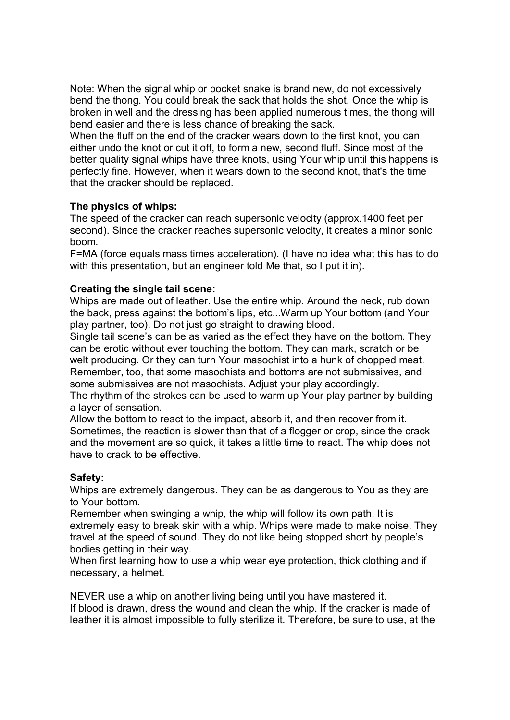Note: When the signal whip or pocket snake is brand new, do not excessively bend the thong. You could break the sack that holds the shot. Once the whip is broken in well and the dressing has been applied numerous times, the thong will bend easier and there is less chance of breaking the sack.

When the fluff on the end of the cracker wears down to the first knot, you can either undo the knot or cut it off, to form a new, second fluff. Since most of the better quality signal whips have three knots, using Your whip until this happens is perfectly fine. However, when it wears down to the second knot, that's the time that the cracker should be replaced.

# **The physics of whips:**

The speed of the cracker can reach supersonic velocity (approx.1400 feet per second). Since the cracker reaches supersonic velocity, it creates a minor sonic boom.

F=MA (force equals mass times acceleration). (I have no idea what this has to do with this presentation, but an engineer told Me that, so I put it in).

# **Creating the single tail scene:**

Whips are made out of leather. Use the entire whip. Around the neck, rub down the back, press against the bottom's lips, etc...Warm up Your bottom (and Your play partner, too). Do not just go straight to drawing blood.

Single tail scene's can be as varied as the effect they have on the bottom. They can be erotic without ever touching the bottom. They can mark, scratch or be welt producing. Or they can turn Your masochist into a hunk of chopped meat. Remember, too, that some masochists and bottoms are not submissives, and some submissives are not masochists. Adjust your play accordingly.

The rhythm of the strokes can be used to warm up Your play partner by building a layer of sensation.

Allow the bottom to react to the impact, absorb it, and then recover from it. Sometimes, the reaction is slower than that of a flogger or crop, since the crack and the movement are so quick, it takes a little time to react. The whip does not have to crack to be effective.

# **Safety:**

Whips are extremely dangerous. They can be as dangerous to You as they are to Your bottom.

Remember when swinging a whip, the whip will follow its own path. It is extremely easy to break skin with a whip. Whips were made to make noise. They travel at the speed of sound. They do not like being stopped short by people's bodies getting in their way.

When first learning how to use a whip wear eve protection, thick clothing and if necessary, a helmet.

NEVER use a whip on another living being until you have mastered it. If blood is drawn, dress the wound and clean the whip. If the cracker is made of leather it is almost impossible to fully sterilize it. Therefore, be sure to use, at the